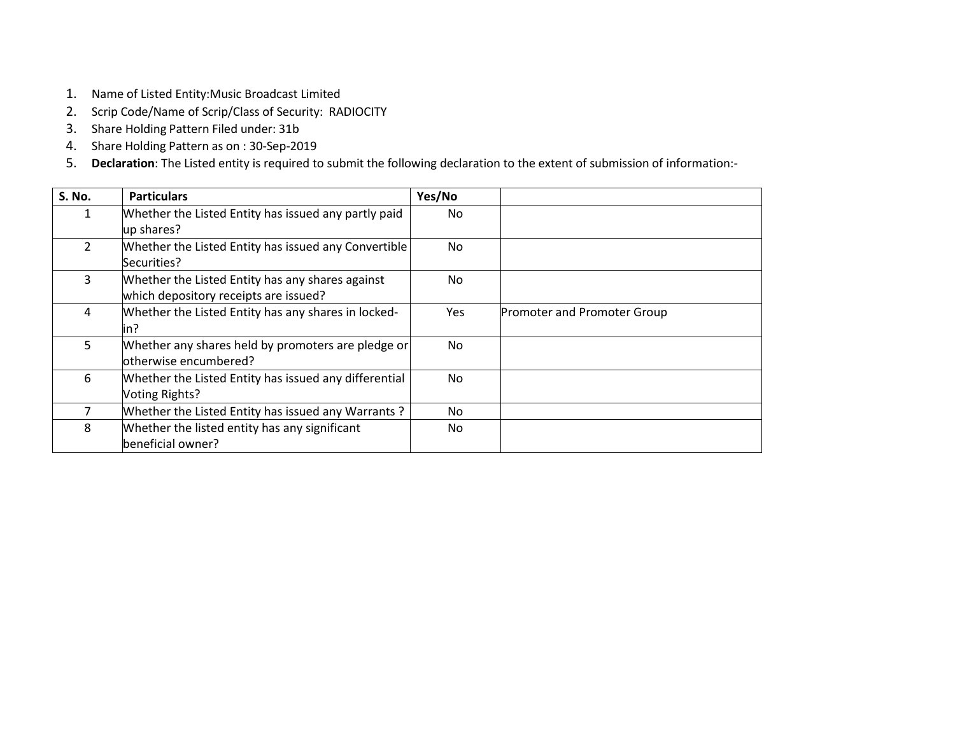- 1. Name of Listed Entity:Music Broadcast Limited
- 2. Scrip Code/Name of Scrip/Class of Security: RADIOCITY
- 3. Share Holding Pattern Filed under: 31b
- 4. Share Holding Pattern as on : 30-Sep-2019
- 5. **Declaration**: The Listed entity is required to submit the following declaration to the extent of submission of information:-

| <b>S. No.</b> | <b>Particulars</b>                                    | Yes/No |                             |
|---------------|-------------------------------------------------------|--------|-----------------------------|
| 1             | Whether the Listed Entity has issued any partly paid  | No.    |                             |
|               | up shares?                                            |        |                             |
| $\mathcal{L}$ | Whether the Listed Entity has issued any Convertible  | No.    |                             |
|               | Securities?                                           |        |                             |
| 3             | Whether the Listed Entity has any shares against      | No.    |                             |
|               | which depository receipts are issued?                 |        |                             |
| 4             | Whether the Listed Entity has any shares in locked-   | Yes    | Promoter and Promoter Group |
|               | in?                                                   |        |                             |
| 5             | Whether any shares held by promoters are pledge or    | No.    |                             |
|               | otherwise encumbered?                                 |        |                             |
| 6             | Whether the Listed Entity has issued any differential | No.    |                             |
|               | Voting Rights?                                        |        |                             |
|               | Whether the Listed Entity has issued any Warrants?    | No.    |                             |
| 8             | Whether the listed entity has any significant         | No.    |                             |
|               | beneficial owner?                                     |        |                             |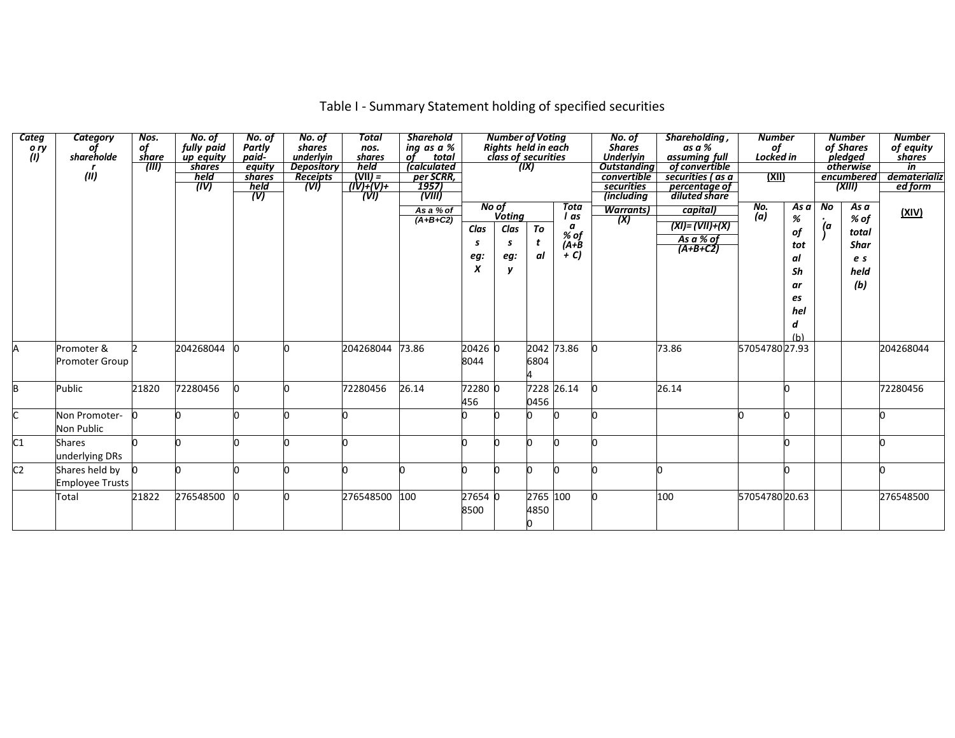| Categ<br>o ry<br>(1) | <b>Category</b><br>shareholde<br>(II)    | Nos.<br>of<br>share<br>(III) | No. of<br>fully paid<br>up equity<br>shares<br>held<br>(IV) | No. of<br><b>Partly</b><br>paid-<br>equity<br>shares<br>held<br>(V) | No. of<br>shares<br>underlyin<br><b>Depository</b><br><b>Receipts</b><br>$(\triangledown)$ | Total<br>nos.<br>shares<br>held<br>$(VII) =$<br>$(IV)+(V)+$<br>'(VI) | <b>Sharehold</b><br>ing as a %<br>of<br>total<br><i>calculated</i><br><i>per SCRR,</i><br>1957)<br>(WIII) |                                      | <b>Number of Voting</b><br>Rights held in each<br>class of securities         | (IX)             |                                                        | No. of<br><b>Shares</b><br><b>Underlyin</b><br><b>Outstandina</b><br>convertible<br>securities<br><i>(including</i> | Shareholding,<br>as a %<br>assuming full<br>of convertible<br>securities (as a<br>percentage of<br>diluted share | <b>Number</b><br>of<br>Locked in<br><u>(XII)</u> |                                                                   |                      | <b>Number</b><br>of Shares<br>pledged<br>otherwise<br>encumbered<br>(XIII) | <b>Number</b><br>of equity<br>shares<br>in<br>dematerializ<br>ed form |
|----------------------|------------------------------------------|------------------------------|-------------------------------------------------------------|---------------------------------------------------------------------|--------------------------------------------------------------------------------------------|----------------------------------------------------------------------|-----------------------------------------------------------------------------------------------------------|--------------------------------------|-------------------------------------------------------------------------------|------------------|--------------------------------------------------------|---------------------------------------------------------------------------------------------------------------------|------------------------------------------------------------------------------------------------------------------|--------------------------------------------------|-------------------------------------------------------------------|----------------------|----------------------------------------------------------------------------|-----------------------------------------------------------------------|
|                      |                                          |                              |                                                             |                                                                     |                                                                                            |                                                                      | As a % of<br>$(A+B+C2)$                                                                                   | Clas<br>S<br>eg:<br>$\boldsymbol{x}$ | $\frac{1}{\sqrt{1 + \frac{1}{n}} \cdot \frac{1}{n}}$<br>Clas<br>s<br>eg:<br>y | To<br>t<br>αl    | <b>Tota</b><br>l as<br>a<br>% of<br>$(A + B)$<br>$+ C$ | <b>Warrants</b> )<br>(X)                                                                                            | capital)<br>(XI)= (VII)+(X)<br>As a % of<br>$(A+B+C2)$                                                           | No.<br>(a)                                       | As a<br>%<br>of<br>tot<br>al<br>Sh<br>ar<br>es<br>hel<br>d<br>(h) | $\overline{N}$<br>(a | As a<br>% of<br>total<br><b>Shar</b><br>e s<br>held<br>(b)                 | (XIV)                                                                 |
| Α                    | Promoter &<br><b>Promoter Group</b>      |                              | 204268044                                                   |                                                                     |                                                                                            | 204268044                                                            | 73.86                                                                                                     | 20426 0<br>8044                      |                                                                               | 2042<br>6804     | 73.86                                                  |                                                                                                                     | 73.86                                                                                                            | 5705478027.93                                    |                                                                   |                      |                                                                            | 204268044                                                             |
| B                    | Public                                   | 21820                        | 72280456                                                    |                                                                     |                                                                                            | 72280456                                                             | 26.14                                                                                                     | 72280 0<br>456                       |                                                                               | 0456             | 7228 26.14                                             |                                                                                                                     | 26.14                                                                                                            |                                                  |                                                                   |                      |                                                                            | 72280456                                                              |
|                      | Non Promoter-<br>Non Public              |                              |                                                             |                                                                     |                                                                                            |                                                                      |                                                                                                           |                                      |                                                                               |                  |                                                        |                                                                                                                     |                                                                                                                  |                                                  |                                                                   |                      |                                                                            |                                                                       |
| C1                   | <b>Shares</b><br>underlying DRs          |                              |                                                             |                                                                     |                                                                                            |                                                                      |                                                                                                           |                                      |                                                                               |                  |                                                        |                                                                                                                     |                                                                                                                  |                                                  |                                                                   |                      |                                                                            |                                                                       |
| C <sub>2</sub>       | Shares held by<br><b>Employee Trusts</b> |                              |                                                             |                                                                     |                                                                                            |                                                                      |                                                                                                           |                                      |                                                                               |                  |                                                        |                                                                                                                     |                                                                                                                  |                                                  |                                                                   |                      |                                                                            |                                                                       |
|                      | Total                                    | 21822                        | 276548500                                                   |                                                                     |                                                                                            | 276548500                                                            | 100                                                                                                       | 27654 0<br>8500                      |                                                                               | 2765 100<br>4850 |                                                        |                                                                                                                     | 100                                                                                                              | 5705478020.63                                    |                                                                   |                      |                                                                            | 276548500                                                             |

# Table I - Summary Statement holding of specified securities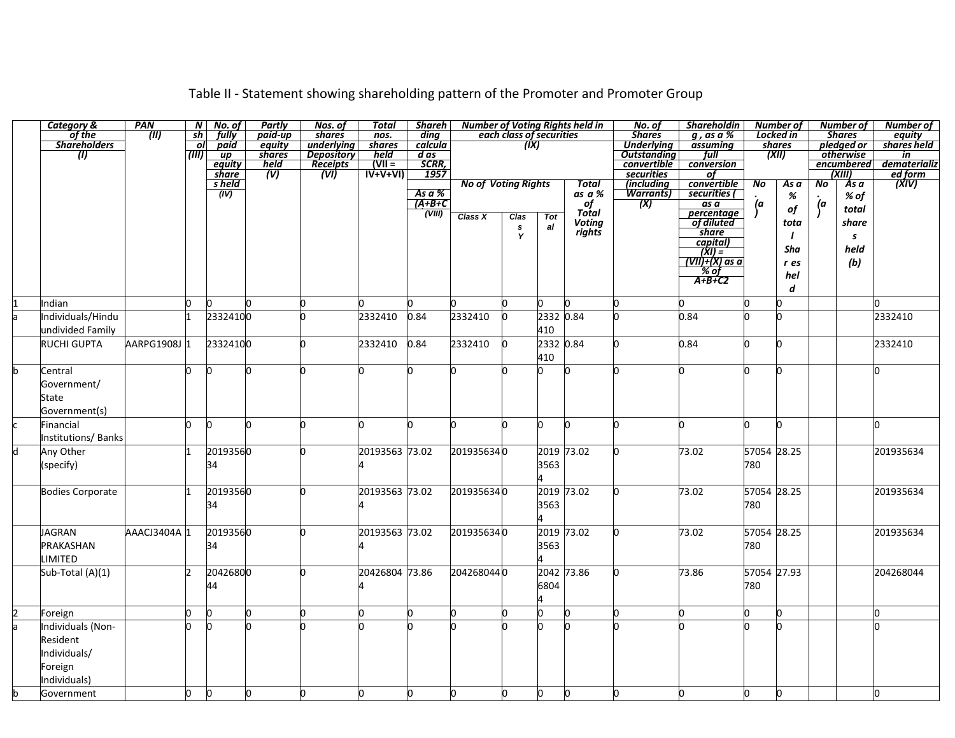|   | <b>Category &amp;</b>     | PAN          | $\mathcal{N}$                     | No. of                    | Partly         | Nos. of                         | <b>Total</b>               | Shareh               |                            |                                |            | <b>Number of Voting Rights held in</b> | No. of            | <b>Shareholdin</b>                    |                | Number of |     | <b>Number of</b>                        | <b>Number of</b>                      |
|---|---------------------------|--------------|-----------------------------------|---------------------------|----------------|---------------------------------|----------------------------|----------------------|----------------------------|--------------------------------|------------|----------------------------------------|-------------------|---------------------------------------|----------------|-----------|-----|-----------------------------------------|---------------------------------------|
|   | of the                    | (III)        | sh                                | fully                     | paid-up        | shares                          | $n$ os.                    | ding                 |                            | each class of securities       |            |                                        | <b>Shares</b>     | $q$ , as a $%$                        |                | Locked in |     | <b>Shares</b>                           | equity                                |
|   | <b>Shareholders</b>       |              | οl<br>$\overline{(\overline{m})}$ | paid                      | equity         | underlying<br><b>Depository</b> | shares                     | calcula              |                            | (IX)                           |            |                                        | <b>Underlying</b> | assuming<br>full                      |                | shares    |     | pledged or                              | shares held                           |
|   | $\omega$                  |              |                                   | $\overline{up}$<br>equity | shares<br>held |                                 | held<br>$VII =$            | $\overline{d}$ as    |                            |                                |            |                                        | convertible       | conversion                            |                | (XII)     |     | otherwise<br>encumbered                 | in<br>dematerializ                    |
|   |                           |              |                                   | share                     | <u>"W</u>      | Receipts<br>(VI)                | $\overrightarrow{IV+V+VI}$ | <u>SCRR,</u><br>1957 |                            |                                |            |                                        | securities        | οf                                    |                |           |     | $\overline{\overline{\mathrm{(XIII)}}}$ |                                       |
|   |                           |              |                                   | s held                    |                |                                 |                            |                      | <b>No of Voting Rights</b> |                                |            | <b>Total</b>                           | (including        | convertible                           | $\overline{N}$ | Asa       | No  | As a                                    | <u>ed form</u><br>  ed form<br>  XIV) |
|   |                           |              |                                   | (IV)                      |                |                                 |                            | As $a$ %             |                            |                                |            | as a %                                 | <b>Warrants</b> ) | securities (                          |                | %         |     | % of                                    |                                       |
|   |                           |              |                                   |                           |                |                                 |                            | $(A+B+C)$            |                            |                                |            | of<br>Total                            | (X)               | as a                                  | (a)            | of        | (a) | total                                   |                                       |
|   |                           |              |                                   |                           |                |                                 |                            | (VIII)               | Class X                    | Clas                           | <b>Tot</b> | Voting                                 |                   | percentage<br>of diluted              |                | tota      |     | share                                   |                                       |
|   |                           |              |                                   |                           |                |                                 |                            |                      |                            | $\boldsymbol{\mathsf{s}}$<br>Y | al         | rights                                 |                   | share                                 |                |           |     | s                                       |                                       |
|   |                           |              |                                   |                           |                |                                 |                            |                      |                            |                                |            |                                        |                   | capital)                              |                | Sha       |     | held                                    |                                       |
|   |                           |              |                                   |                           |                |                                 |                            |                      |                            |                                |            |                                        |                   | $\frac{(XI)}{(VII)+(X) \text{ as a}}$ |                |           |     |                                         |                                       |
|   |                           |              |                                   |                           |                |                                 |                            |                      |                            |                                |            |                                        |                   | '%'of                                 |                | r es      |     | (b)                                     |                                       |
|   |                           |              |                                   |                           |                |                                 |                            |                      |                            |                                |            |                                        |                   | $A+B+C2$                              |                | hel       |     |                                         |                                       |
|   |                           |              |                                   |                           |                |                                 |                            |                      |                            |                                |            |                                        |                   |                                       |                | d         |     |                                         |                                       |
|   | ndian                     |              | 0.                                | h                         |                | <sup>0</sup>                    |                            | n                    |                            |                                |            |                                        |                   |                                       |                | n         |     |                                         |                                       |
|   | Individuals/Hindu         |              |                                   | 23324100                  |                |                                 | 2332410                    | 0.84                 | 2332410                    | lo.                            | 2332       | 0.84                                   |                   | 0.84                                  |                | n         |     |                                         | 2332410                               |
|   | undivided Family          |              |                                   |                           |                |                                 |                            |                      |                            |                                | 410        |                                        |                   |                                       |                |           |     |                                         |                                       |
|   | <b>RUCHI GUPTA</b>        | AARPG1908J 1 |                                   | 23324100                  |                | 'n                              | 2332410                    | 0.84                 | 2332410                    | 0                              | 2332 0.84  |                                        | n                 | 0.84                                  | 'n             | n         |     |                                         | 2332410                               |
|   |                           |              |                                   |                           |                |                                 |                            |                      |                            |                                | 410        |                                        |                   |                                       |                |           |     |                                         |                                       |
| b | Central                   |              | lo.                               | l0                        |                | n                               | n                          | n                    |                            |                                | n          |                                        | n                 | h.                                    | 'n             | n         |     |                                         |                                       |
|   | Government/               |              |                                   |                           |                |                                 |                            |                      |                            |                                |            |                                        |                   |                                       |                |           |     |                                         |                                       |
|   | State                     |              |                                   |                           |                |                                 |                            |                      |                            |                                |            |                                        |                   |                                       |                |           |     |                                         |                                       |
|   | Government(s)             |              |                                   |                           |                |                                 |                            |                      |                            |                                |            |                                        |                   |                                       |                |           |     |                                         |                                       |
|   | Financial                 |              | l0.                               | O                         |                | 'n                              | n                          | n                    |                            | n                              | O.         |                                        | n                 | n                                     | l0             | n         |     |                                         | n                                     |
|   | <b>Institutions/Banks</b> |              |                                   |                           |                |                                 |                            |                      |                            |                                |            |                                        |                   |                                       |                |           |     |                                         |                                       |
| Ы | Any Other                 |              |                                   | 20193560                  |                | 'n                              | 20193563 73.02             |                      | 2019356340                 |                                |            | 2019 73.02                             |                   | 73.02                                 | 57054 28.25    |           |     |                                         | 201935634                             |
|   |                           |              |                                   | 34                        |                |                                 |                            |                      |                            |                                | 3563       |                                        |                   |                                       | 780            |           |     |                                         |                                       |
|   | (specify)                 |              |                                   |                           |                |                                 |                            |                      |                            |                                |            |                                        |                   |                                       |                |           |     |                                         |                                       |
|   |                           |              |                                   |                           |                |                                 |                            |                      |                            |                                |            |                                        |                   |                                       |                |           |     |                                         |                                       |
|   | <b>Bodies Corporate</b>   |              |                                   | 20193560                  |                | 'n                              | 20193563 73.02             |                      | 2019356340                 |                                |            | 2019 73.02                             | n                 | 73.02                                 | 57054 28.25    |           |     |                                         | 201935634                             |
|   |                           |              |                                   | 34                        |                |                                 |                            |                      |                            |                                | 3563       |                                        |                   |                                       | 780            |           |     |                                         |                                       |
|   |                           |              |                                   |                           |                |                                 |                            |                      |                            |                                |            |                                        |                   |                                       |                |           |     |                                         |                                       |
|   | <b>JAGRAN</b>             | AAACJ3404A 1 |                                   | 20193560                  |                | n                               | 20193563 73.02             |                      | 2019356340                 |                                |            | 2019 73.02                             |                   | 73.02                                 | 57054 28.25    |           |     |                                         | 201935634                             |
|   | PRAKASHAN                 |              |                                   | 34                        |                |                                 |                            |                      |                            |                                | 3563       |                                        |                   |                                       | 780            |           |     |                                         |                                       |
|   | LIMITED                   |              |                                   |                           |                |                                 |                            |                      |                            |                                |            |                                        |                   |                                       |                |           |     |                                         |                                       |
|   | Sub-Total (A)(1)          |              | b                                 | 20426800                  |                | 'n                              | 20426804 73.86             |                      | 2042680440                 |                                |            | 2042 73.86                             |                   | 73.86                                 | 57054 27.93    |           |     |                                         | 204268044                             |
|   |                           |              |                                   | 44                        |                |                                 | 4                          |                      |                            |                                | 6804       |                                        |                   |                                       | 780            |           |     |                                         |                                       |
|   |                           |              |                                   |                           |                |                                 |                            |                      |                            |                                |            |                                        |                   |                                       |                |           |     |                                         |                                       |
|   | Foreign                   |              | h                                 | lo.                       |                | <sup>0</sup>                    | <sup>0</sup>               | 0                    |                            | n                              | n          |                                        | n                 | <b>l</b>                              | 'n             | n         |     |                                         | 'n                                    |
|   | ndividuals (Non-          |              |                                   | h                         |                |                                 |                            |                      |                            |                                | h          |                                        |                   |                                       |                |           |     |                                         |                                       |
|   | Resident                  |              |                                   |                           |                |                                 |                            |                      |                            |                                |            |                                        |                   |                                       |                |           |     |                                         |                                       |
|   | Individuals/              |              |                                   |                           |                |                                 |                            |                      |                            |                                |            |                                        |                   |                                       |                |           |     |                                         |                                       |
|   | Foreign                   |              |                                   |                           |                |                                 |                            |                      |                            |                                |            |                                        |                   |                                       |                |           |     |                                         |                                       |
|   | Individuals)              |              |                                   |                           |                |                                 |                            |                      |                            |                                |            |                                        |                   |                                       |                |           |     |                                         |                                       |
|   |                           |              | O.                                |                           |                |                                 | 0                          | 0                    |                            | $\mathbf{0}$                   | O.         | $\mathbf{0}$                           | $\mathbf{0}$      | O.                                    | lo.            |           |     |                                         |                                       |
| b | Government                |              |                                   | O                         | Ю              | O                               |                            |                      | <b>O</b>                   |                                |            |                                        |                   |                                       |                | Ю         |     |                                         | Ю                                     |

## Table II - Statement showing shareholding pattern of the Promoter and Promoter Group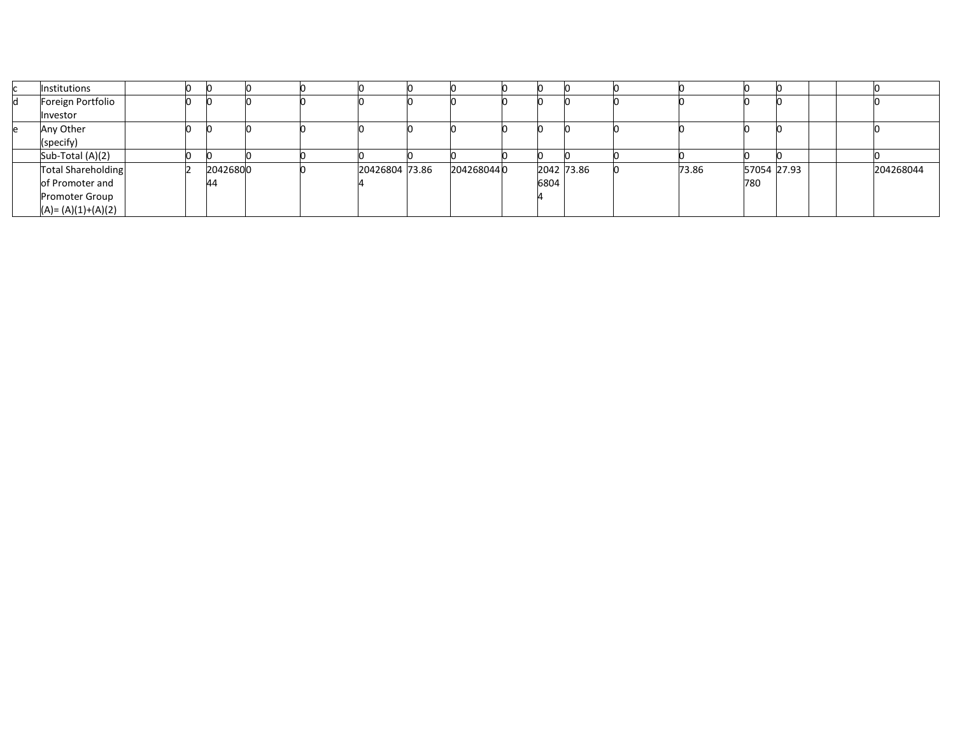|   | Institutions              |  |          |  |                |            |      |            |       |             |  |           |
|---|---------------------------|--|----------|--|----------------|------------|------|------------|-------|-------------|--|-----------|
| И | Foreign Portfolio         |  |          |  |                |            |      |            |       |             |  |           |
|   | Investor                  |  |          |  |                |            |      |            |       |             |  |           |
|   | Any Other                 |  |          |  |                |            |      |            |       |             |  |           |
|   | (specify)                 |  |          |  |                |            |      |            |       |             |  |           |
|   | Sub-Total (A)(2)          |  |          |  |                |            |      |            |       |             |  |           |
|   | <b>Total Shareholding</b> |  | 20426800 |  | 20426804 73.86 | 2042680440 |      | 2042 73.86 | 73.86 | 57054 27.93 |  | 204268044 |
|   | of Promoter and           |  | 44       |  |                |            | 6804 |            |       | 780         |  |           |
|   | Promoter Group            |  |          |  |                |            |      |            |       |             |  |           |
|   | $(A)=(A)(1)+(A)(2)$       |  |          |  |                |            |      |            |       |             |  |           |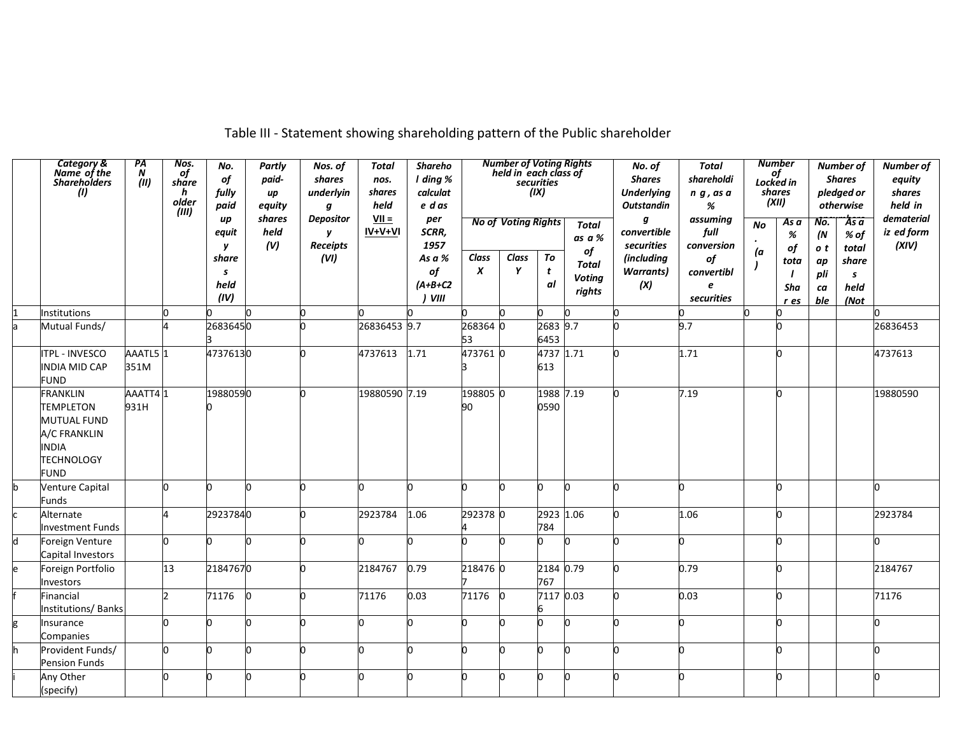| Category &<br>Name of the<br><b>Shareholders</b><br>(I)                                                                       | PA<br>$\boldsymbol{N}$<br>(II) | Nos.<br>of<br>share<br>h<br>older<br>(III) | No.<br>of<br>fully<br>paid | <b>Partly</b><br>paid-<br>up<br>equity | Nos. of<br>shares<br>underlyin<br>q | <b>Total</b><br>nos.<br>shares<br>held | <b>Shareho</b><br>I ding %<br>calculat<br>e d as |                           | <b>Number of Voting Rights</b><br>held in each class of | securities<br>(ix)             |                                         | No. of<br><b>Shares</b><br><b>Underlying</b><br><b>Outstandin</b> | <b>Total</b><br>shareholdi<br>$n \, g$ , as a<br>% |                        | <b>Number</b><br>of<br>Locked in<br>shares<br>(XII) |                        | Number of<br><b>Shares</b><br>pledged or<br>otherwise | Number of<br>equity<br>shares<br>held in |
|-------------------------------------------------------------------------------------------------------------------------------|--------------------------------|--------------------------------------------|----------------------------|----------------------------------------|-------------------------------------|----------------------------------------|--------------------------------------------------|---------------------------|---------------------------------------------------------|--------------------------------|-----------------------------------------|-------------------------------------------------------------------|----------------------------------------------------|------------------------|-----------------------------------------------------|------------------------|-------------------------------------------------------|------------------------------------------|
|                                                                                                                               |                                |                                            | up<br>equit<br>y           | shares<br>held<br>(V)                  | <b>Depositor</b><br>y<br>Receipts   | $VII =$<br>IV+V+VI                     | per<br>SCRR,<br>1957                             |                           | <b>No of Voting Rights</b>                              |                                | <b>Total</b><br>as a %<br>of            | g<br>convertible<br>securities                                    | assuming<br>full<br>conversion                     | No<br>$\bullet$<br>(a) | Asa<br>%<br>of                                      | No.<br>(N)<br>o t      | Asa<br>% of<br>total                                  | dematerial<br>iz ed form<br>(XIV)        |
|                                                                                                                               |                                |                                            | share<br>s<br>held<br>(IV) |                                        | (VI)                                |                                        | As a %<br>of<br>$(A+B+C2$<br>VIII                | Class<br>$\boldsymbol{x}$ | Class<br>Y                                              | To<br>t<br>al                  | <b>Total</b><br><b>Voting</b><br>rights | (including<br><b>Warrants</b> )<br>(X)                            | of<br>convertibl<br>e<br>securities                | $\mathbf{I}$           | tota<br>Sha<br>r es                                 | ap<br>pli<br>ca<br>ble | share<br>s<br>held<br>(Not                            |                                          |
| Institutions                                                                                                                  |                                | n                                          |                            | n                                      | n                                   |                                        |                                                  |                           |                                                         | n                              |                                         |                                                                   |                                                    |                        | n                                                   |                        |                                                       |                                          |
| Mutual Funds/                                                                                                                 |                                |                                            | 26836450                   |                                        |                                     | 26836453 9.7                           |                                                  | 268364 0<br>53            |                                                         | 2683 9.7<br>6453               |                                         |                                                                   | 9.7                                                |                        | n                                                   |                        |                                                       | 26836453                                 |
| <b>ITPL - INVESCO</b><br><b>INDIA MID CAP</b><br><b>FUND</b>                                                                  | AAATL5 1<br>351M               |                                            | 47376130                   |                                        | n.                                  | 4737613                                | 1.71                                             | 4737610                   |                                                         | 4737 1.71<br>613               |                                         |                                                                   | 1.71                                               |                        | n.                                                  |                        |                                                       | 4737613                                  |
| <b>FRANKLIN</b><br><b>TEMPLETON</b><br><b>MUTUAL FUND</b><br>A/C FRANKLIN<br><b>INDIA</b><br><b>TECHNOLOGY</b><br><b>FUND</b> | AAATT41<br>931H                |                                            | 19880590                   |                                        | n.                                  | 19880590 7.19                          |                                                  | 198805 0<br>90            |                                                         | $1988 \overline{7.19}$<br>0590 |                                         |                                                                   | 7.19                                               |                        | n.                                                  |                        |                                                       | 19880590                                 |
| Venture Capital<br>Funds                                                                                                      |                                | n.                                         | h                          | n                                      |                                     | n                                      |                                                  | n                         | n                                                       | h                              | n                                       |                                                                   |                                                    |                        | n                                                   |                        |                                                       | n                                        |
| Alternate<br><b>Investment Funds</b>                                                                                          |                                |                                            | 29237840                   |                                        |                                     | 2923784                                | 1.06                                             | 292378 0                  |                                                         | 2923 1.06<br>784               |                                         |                                                                   | 1.06                                               |                        | n                                                   |                        |                                                       | 2923784                                  |
| Foreign Venture<br>Capital Investors                                                                                          |                                | n.                                         | n                          |                                        | n                                   | n                                      |                                                  | n                         |                                                         | n                              | n                                       |                                                                   |                                                    |                        | n                                                   |                        |                                                       | n                                        |
| Foreign Portfolio<br>Investors                                                                                                |                                | 13                                         | 21847670                   |                                        | n                                   | 2184767                                | 0.79                                             | 218476 0                  |                                                         | 2184 0.79<br>767               |                                         |                                                                   | 0.79                                               |                        | n                                                   |                        |                                                       | 2184767                                  |
| Financial<br><b>Institutions/Banks</b>                                                                                        |                                | $\overline{ }$                             | 71176                      |                                        |                                     | 71176                                  | 0.03                                             | 71176                     |                                                         | 7117 0.03                      |                                         |                                                                   | 0.03                                               |                        | n                                                   |                        |                                                       | 71176                                    |
| Insurance<br>Companies                                                                                                        |                                | n                                          | n.                         | n                                      | n                                   | n.                                     |                                                  | n                         | n                                                       | n.                             | n.                                      |                                                                   |                                                    |                        | n                                                   |                        |                                                       | n                                        |
| Provident Funds/<br><b>Pension Funds</b>                                                                                      |                                | 0                                          | n.                         | n                                      | n                                   | 0                                      | n                                                | 'n                        | n                                                       | n.                             | n                                       |                                                                   |                                                    |                        | n                                                   |                        |                                                       | n                                        |
| Any Other<br>(specify)                                                                                                        |                                | n                                          | n                          | n                                      | n                                   | n.                                     | n                                                | n                         | n                                                       | n                              | In.                                     |                                                                   |                                                    |                        | n.                                                  |                        |                                                       | l0                                       |

Table III - Statement showing shareholding pattern of the Public shareholder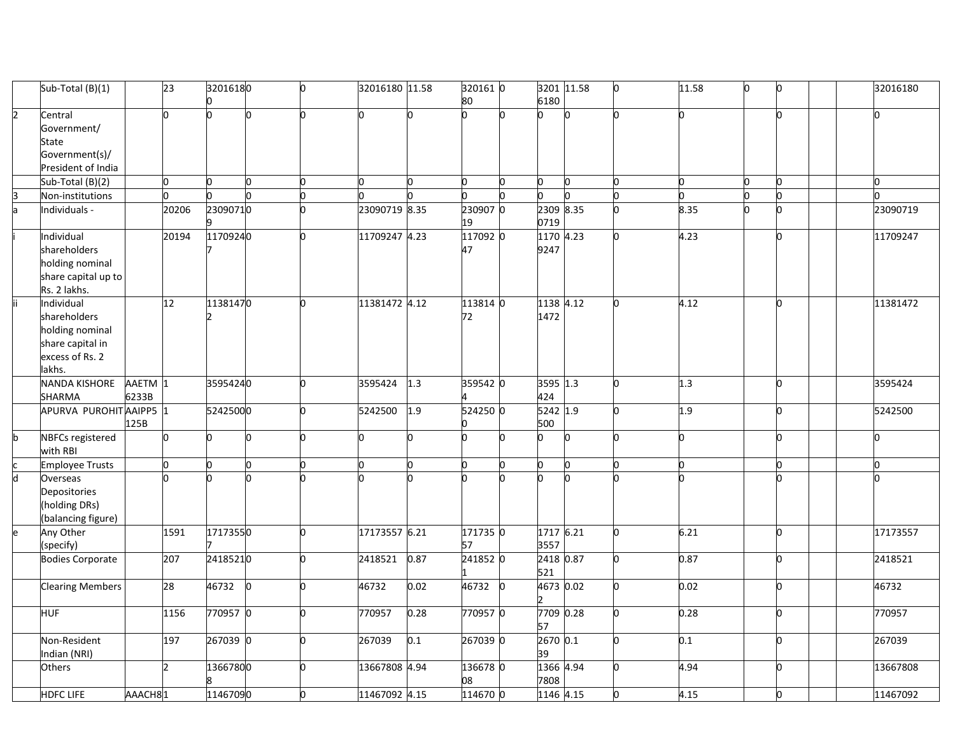|                         | Sub-Total (B)(1)                                                                               |                  | 23             | 32016180 |     | h | 32016180 11.58 |      | 320161 0<br>80 |           | 3201 11.58<br>6180 | n  | 11.58 | Ю | Ю            | 32016180 |
|-------------------------|------------------------------------------------------------------------------------------------|------------------|----------------|----------|-----|---|----------------|------|----------------|-----------|--------------------|----|-------|---|--------------|----------|
| $\overline{2}$          | Central<br>Government/<br><b>State</b><br>Government(s)/<br>President of India                 |                  |                |          |     |   |                |      |                |           |                    |    |       |   | 'n           |          |
|                         | Sub-Total (B)(2)                                                                               |                  | n.             | n        | n   | n |                |      | n              |           | n                  |    | n     |   | O.           |          |
|                         | Non-institutions                                                                               |                  |                |          |     | O |                |      |                |           |                    |    |       |   | <sub>0</sub> |          |
| la.                     | Individuals -                                                                                  |                  | 20206          | 23090710 |     |   | 23090719 8.35  |      | 2309070<br>19  |           | 2309 8.35<br>0719  | h  | 8.35  |   | <sub>0</sub> | 23090719 |
|                         | Individual<br>shareholders<br>holding nominal<br>share capital up to<br>Rs. 2 lakhs.           |                  | 20194          | 11709240 |     | U | 11709247 4.23  |      | 117092 0<br>47 |           | 1170 4.23<br>9247  | h  | 4.23  |   | 'n           | 11709247 |
|                         | Individual<br>shareholders<br>holding nominal<br>share capital in<br>excess of Rs. 2<br>lakhs. |                  | 12             | 11381470 |     |   | 11381472 4.12  |      | 113814 0<br>72 |           | 1138 4.12<br>1472  |    | 4.12  |   | 'n           | 11381472 |
|                         | <b>NANDA KISHORE</b><br>SHARMA                                                                 | AAETM 1<br>6233B |                | 35954240 |     |   | 3595424        | 1.3  | 359542 0       |           | 3595 1.3<br>424    | b. | 1.3   |   | O            | 3595424  |
|                         | APURVA PUROHIT AAIPP5 1                                                                        | 125B             |                | 52425000 |     | U | 5242500        | 1.9  | 524250 0       |           | 5242 1.9<br>500    | n  | 1.9   |   | O            | 5242500  |
| h                       | <b>NBFCs registered</b><br>with RBI                                                            |                  |                | n        | h   | U | lo.            |      | n              |           | n                  | h  | n     |   | 0            |          |
|                         | <b>Employee Trusts</b>                                                                         |                  | n.             | n        |     | 0 | h              |      | 0              | n         | 'n                 | h  | h     |   | lo.          |          |
| $\overline{\mathsf{d}}$ | Overseas<br>Depositories<br>(holding DRs)<br>(balancing figure)                                |                  |                |          |     |   |                |      |                |           |                    |    |       |   |              |          |
|                         | Any Other<br>(specify)                                                                         |                  | 1591           | 17173550 |     | U | 17173557 6.21  |      | 171735 0<br>57 |           | 1717 6.21<br>3557  | o. | 6.21  |   | O            | 17173557 |
|                         | <b>Bodies Corporate</b>                                                                        |                  | 207            | 24185210 |     | U | 2418521        | 0.87 | 241852 0       |           | 2418 0.87<br>521   | h  | 0.87  |   | <sup>0</sup> | 2418521  |
|                         | <b>Clearing Members</b>                                                                        |                  | 28             | 46732    | lo. |   | 46732          | 0.02 | 46732          | <b>lo</b> | 4673 0.02          | h  | 0.02  |   | O            | 46732    |
|                         | <b>HUF</b>                                                                                     |                  | 1156           | 770957 0 |     |   | 770957         | 0.28 | 770957 0       |           | 7709 0.28<br>57    |    | 0.28  |   | <sup>0</sup> | 770957   |
|                         | Non-Resident<br>Indian (NRI)                                                                   |                  | 197            | 267039 0 |     |   | 267039         | 0.1  | 267039 0       |           | 2670 0.1<br>39     | n  | 0.1   |   | 'n           | 267039   |
|                         | <b>Others</b>                                                                                  |                  | $\overline{z}$ | 13667800 |     | U | 13667808 4.94  |      | 136678 0<br>80 |           | 1366 4.94<br>7808  |    | 4.94  |   | 0            | 13667808 |
|                         | <b>HDFC LIFE</b>                                                                               | AAACH81          |                | 11467090 |     |   | 11467092 4.15  |      | 114670 0       |           | 1146 4.15          |    | 4.15  |   | 0            | 11467092 |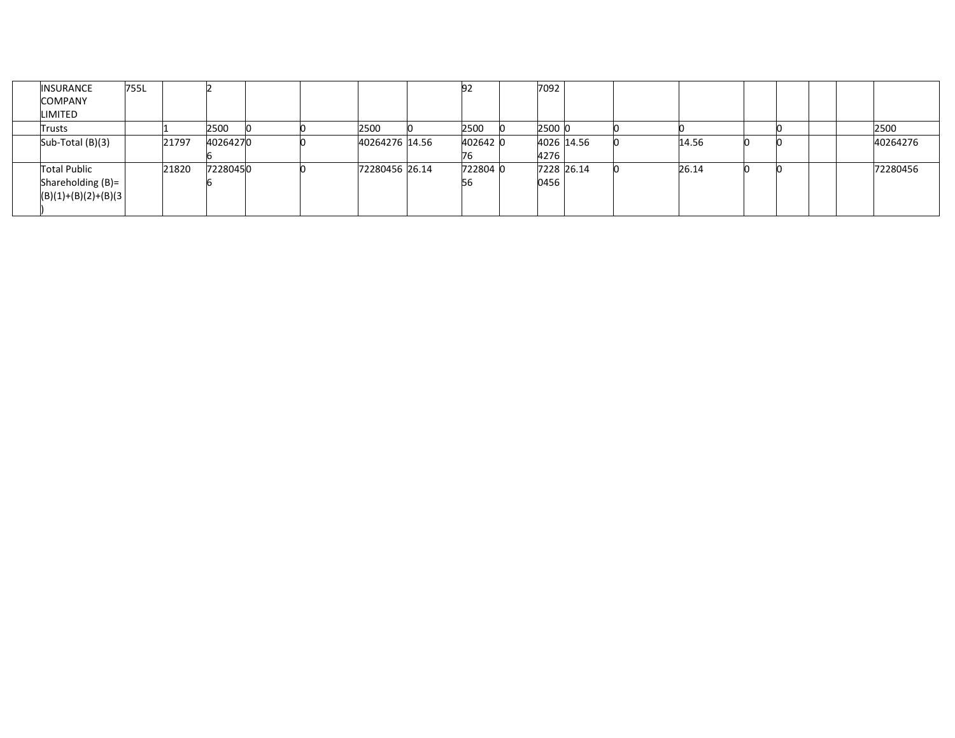| <b>INSURANCE</b><br><b>COMPANY</b><br>LIMITED               | 755L |       |          |  |                | 92             | 7092               |            |       |  |  |          |
|-------------------------------------------------------------|------|-------|----------|--|----------------|----------------|--------------------|------------|-------|--|--|----------|
| Trusts                                                      |      |       | 2500     |  | 2500           | 2500           | 2500 0             |            |       |  |  | 2500     |
| Sub-Total (B)(3)                                            |      | 21797 | 40264270 |  | 40264276 14.56 | 402642 0       | 4276               | 4026 14.56 | 14.56 |  |  | 40264276 |
| Total Public<br>Shareholding (B)=<br>$(B)(1)+(B)(2)+(B)(3)$ |      | 21820 | 72280450 |  | 72280456 26.14 | 722804 0<br>ьь | 7228 26.14<br>0456 |            | 26.14 |  |  | 72280456 |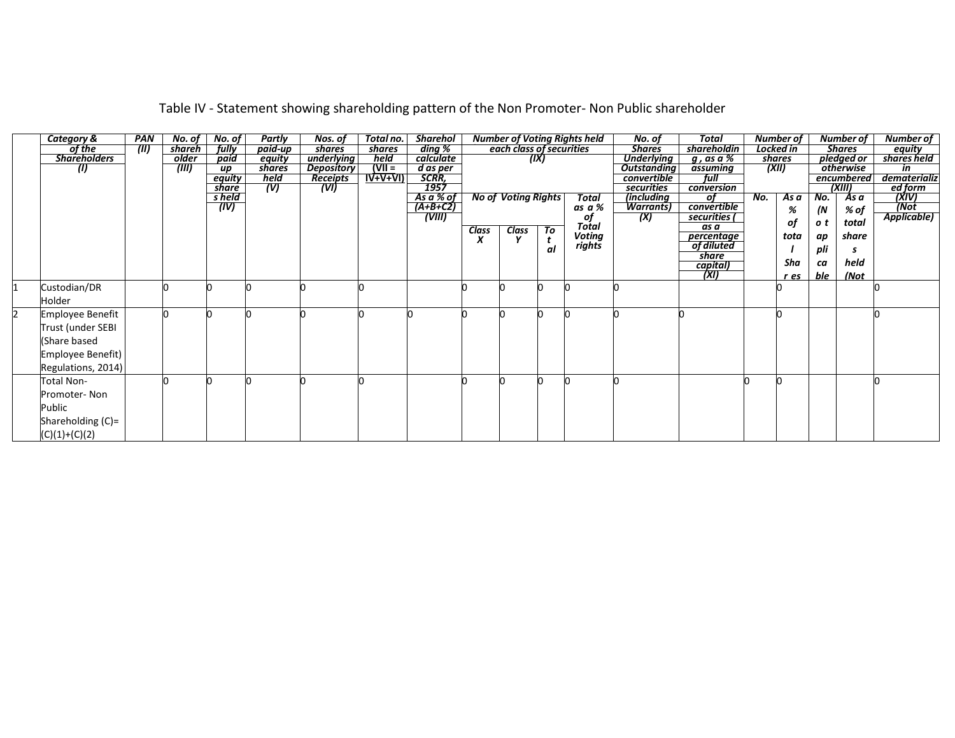| <b>Category &amp;</b>   | <b>PAN</b> | No. of | No. of    | Partly  | Nos. of    | Total no. | <b>Sharehol</b>              |              |                            |      | <b>Number of Voting Rights held</b> | No. of             | <b>Total</b>        |     | <b>Number of</b> |     | <b>Number of</b> | Number of           |
|-------------------------|------------|--------|-----------|---------|------------|-----------|------------------------------|--------------|----------------------------|------|-------------------------------------|--------------------|---------------------|-----|------------------|-----|------------------|---------------------|
| of the                  | (III)      | shareh | fully     | paid-up | shares     | shares    | ding %                       |              | each class of securities   |      |                                     | <b>Shares</b>      | shareholdin         |     | Locked in        |     | <b>Shares</b>    | equity              |
| <b>Shareholders</b>     |            | older  | paid      | equity  | underlying | held      | calculate                    |              |                            | (IX) |                                     | <b>Underlying</b>  | g, as a %           |     | shares           |     | pledged or       | shares held         |
| (1)                     |            | (III)  | <b>up</b> | shares  | Depository | $ V   =$  | d as per                     |              |                            |      |                                     | <b>Outstanding</b> | assuming            |     | (XII)            |     | otherwise        | in                  |
|                         |            |        | equity    | held    | Receipts   | $IV+V+VI$ | SCRR,                        |              |                            |      |                                     | convertible        | full                |     |                  |     | encumbered       | dematerializ        |
|                         |            |        | share     | (V)     | (VI)       |           | 1957                         |              |                            |      |                                     | securities         | conversion          |     |                  |     | (XIII)           | ed form             |
|                         |            |        | s held    |         |            |           | <u>As a % of</u><br>(A+B+C2) |              | <b>No of Voting Rights</b> |      | <b>Total</b>                        | (including         | of                  | No. | Asa              | No. | As a             | (XIV)               |
|                         |            |        | (IV)      |         |            |           |                              |              |                            |      | as a %                              | <b>Warrants</b> )  | convertible         |     | %                | (N  | % of             | (Not<br>Applicable) |
|                         |            |        |           |         |            |           | (WIII)                       |              |                            |      | оf                                  | (X)                | securities (        |     | οf               | o t | total            |                     |
|                         |            |        |           |         |            |           |                              | <b>Class</b> | <b>Class</b>               | To   | Total                               |                    | as a                |     |                  |     |                  |                     |
|                         |            |        |           |         |            |           |                              | x            |                            |      | Voting                              |                    | percentage          |     | tota             | ap  | share            |                     |
|                         |            |        |           |         |            |           |                              |              |                            | αl   | rights                              |                    | of diluted<br>share |     |                  | pli |                  |                     |
|                         |            |        |           |         |            |           |                              |              |                            |      |                                     |                    | capital)            |     | Sha              | ca  | held             |                     |
|                         |            |        |           |         |            |           |                              |              |                            |      |                                     |                    | (XI)                |     |                  | ble | (Not             |                     |
|                         |            |        |           |         |            |           |                              |              |                            |      |                                     |                    |                     |     | r es             |     |                  |                     |
| Custodian/DR            |            |        |           |         |            |           |                              |              |                            |      |                                     |                    |                     |     |                  |     |                  |                     |
| Holder                  |            |        |           |         |            |           |                              |              |                            |      |                                     |                    |                     |     |                  |     |                  |                     |
| <b>Employee Benefit</b> |            |        |           |         |            |           |                              |              |                            |      |                                     |                    |                     |     |                  |     |                  |                     |
| Trust (under SEBI       |            |        |           |         |            |           |                              |              |                            |      |                                     |                    |                     |     |                  |     |                  |                     |
|                         |            |        |           |         |            |           |                              |              |                            |      |                                     |                    |                     |     |                  |     |                  |                     |
| (Share based            |            |        |           |         |            |           |                              |              |                            |      |                                     |                    |                     |     |                  |     |                  |                     |
| Employee Benefit)       |            |        |           |         |            |           |                              |              |                            |      |                                     |                    |                     |     |                  |     |                  |                     |
| Regulations, 2014)      |            |        |           |         |            |           |                              |              |                            |      |                                     |                    |                     |     |                  |     |                  |                     |
|                         |            |        |           |         |            |           |                              |              |                            |      |                                     |                    |                     |     |                  |     |                  |                     |
| Total Non-              |            |        |           |         |            |           |                              |              |                            |      |                                     |                    |                     |     |                  |     |                  |                     |
| Promoter-Non            |            |        |           |         |            |           |                              |              |                            |      |                                     |                    |                     |     |                  |     |                  |                     |
| Public                  |            |        |           |         |            |           |                              |              |                            |      |                                     |                    |                     |     |                  |     |                  |                     |
| Shareholding (C)=       |            |        |           |         |            |           |                              |              |                            |      |                                     |                    |                     |     |                  |     |                  |                     |
|                         |            |        |           |         |            |           |                              |              |                            |      |                                     |                    |                     |     |                  |     |                  |                     |
| $(C)(1)+(C)(2)$         |            |        |           |         |            |           |                              |              |                            |      |                                     |                    |                     |     |                  |     |                  |                     |

# Table IV - Statement showing shareholding pattern of the Non Promoter- Non Public shareholder